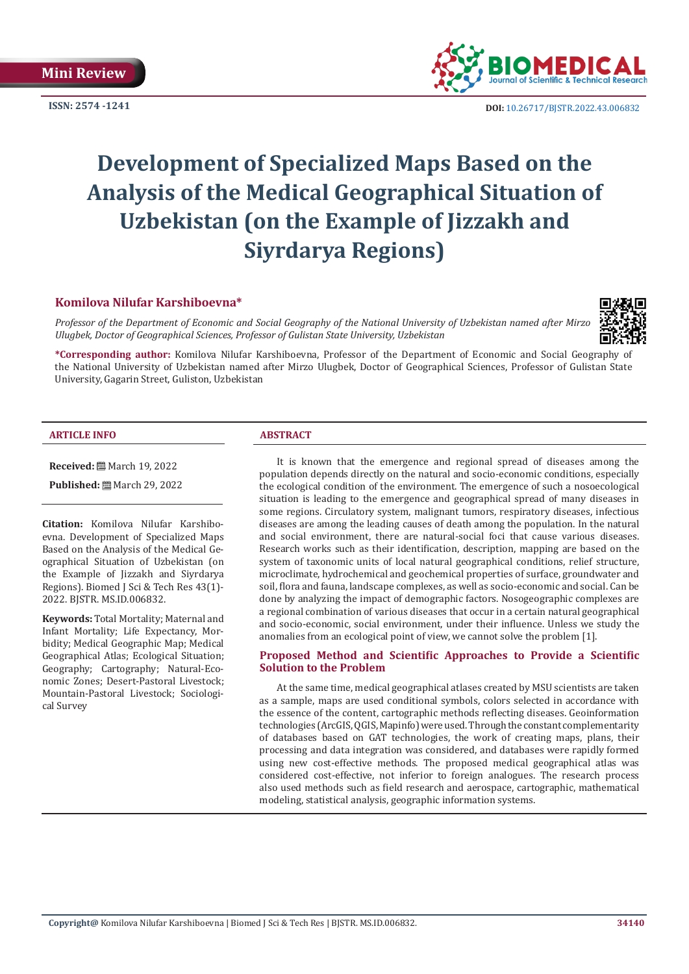

**ISSN:** 2574 -1241 **DOI:** [10.26717/BJSTR.2022.43.006832](https://dx.doi.org/10.26717/BJSTR.2022.43.006832)

# **Development of Specialized Maps Based on the Analysis of the Medical Geographical Situation of Uzbekistan (on the Example of Jizzakh and Siyrdarya Regions)**

### **Komilova Nilufar Karshiboevna\***

*Professor of the Department of Economic and Social Geography of the National University of Uzbekistan named after Mirzo Ulugbek, Doctor of Geographical Sciences, Professor of Gulistan State University, Uzbekistan*



**\*Corresponding author:** Komilova Nilufar Karshiboevna, Professor of the Department of Economic and Social Geography of

the National University of Uzbekistan named after Mirzo Ulugbek, Doctor of Geographical Sciences, Professor of Gulistan State University, Gagarin Street, Guliston, Uzbekistan

#### **ARTICLE INFO ABSTRACT**

**Received:** March 19, 2022

**Published:** ■ March 29, 2022

**Citation:** Komilova Nilufar Karshiboevna. Development of Specialized Maps Based on the Analysis of the Medical Geographical Situation of Uzbekistan (on the Example of Jizzakh and Siyrdarya Regions). Biomed J Sci & Tech Res 43(1)- 2022. BJSTR. MS.ID.006832.

**Keywords:** Total Mortality; Maternal and Infant Mortality; Life Expectancy, Morbidity; Medical Geographic Map; Medical Geographical Atlas; Ecological Situation; Geography; Cartography; Natural-Economic Zones; Desert-Pastoral Livestock; Mountain-Pastoral Livestock; Sociological Survey

It is known that the emergence and regional spread of diseases among the population depends directly on the natural and socio-economic conditions, especially the ecological condition of the environment. The emergence of such a nosoecological situation is leading to the emergence and geographical spread of many diseases in some regions. Circulatory system, malignant tumors, respiratory diseases, infectious diseases are among the leading causes of death among the population. In the natural and social environment, there are natural-social foci that cause various diseases. Research works such as their identification, description, mapping are based on the system of taxonomic units of local natural geographical conditions, relief structure, microclimate, hydrochemical and geochemical properties of surface, groundwater and soil, flora and fauna, landscape complexes, as well as socio-economic and social. Can be done by analyzing the impact of demographic factors. Nosogeographic complexes are a regional combination of various diseases that occur in a certain natural geographical and socio-economic, social environment, under their influence. Unless we study the anomalies from an ecological point of view, we cannot solve the problem [1].

#### **Proposed Method and Scientific Approaches to Provide a Scientific Solution to the Problem**

At the same time, medical geographical atlases created by MSU scientists are taken as a sample, maps are used conditional symbols, colors selected in accordance with the essence of the content, cartographic methods reflecting diseases. Geoinformation technologies (ArcGIS, QGIS, Mapinfo) were used. Through the constant complementarity of databases based on GAT technologies, the work of creating maps, plans, their processing and data integration was considered, and databases were rapidly formed using new cost-effective methods. The proposed medical geographical atlas was considered cost-effective, not inferior to foreign analogues. The research process also used methods such as field research and aerospace, cartographic, mathematical modeling, statistical analysis, geographic information systems.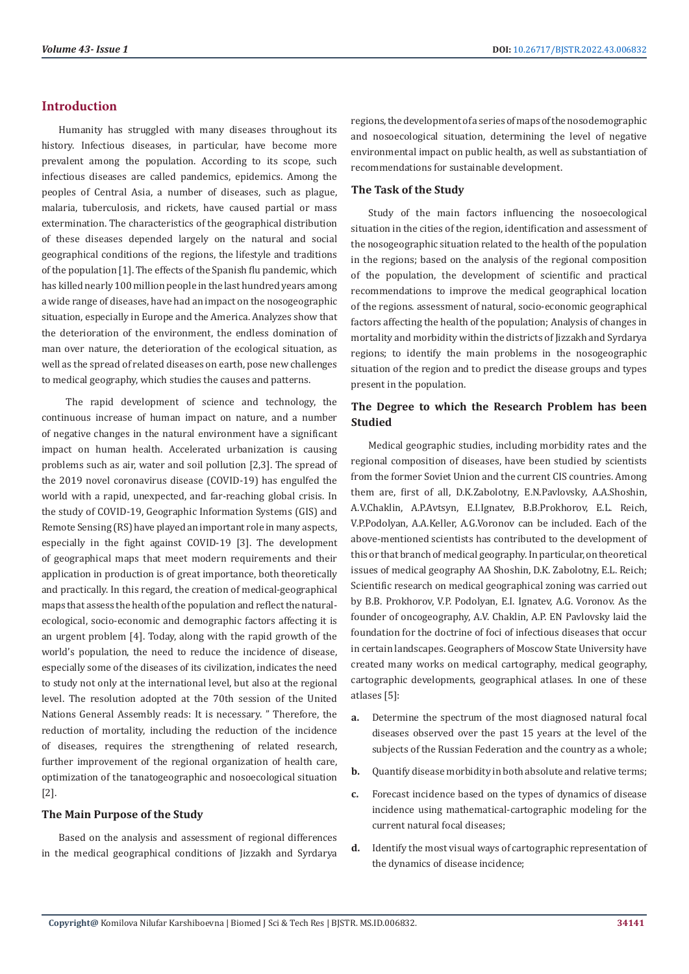# **Introduction**

Humanity has struggled with many diseases throughout its history. Infectious diseases, in particular, have become more prevalent among the population. According to its scope, such infectious diseases are called pandemics, epidemics. Among the peoples of Central Asia, a number of diseases, such as plague, malaria, tuberculosis, and rickets, have caused partial or mass extermination. The characteristics of the geographical distribution of these diseases depended largely on the natural and social geographical conditions of the regions, the lifestyle and traditions of the population [1]. The effects of the Spanish flu pandemic, which has killed nearly 100 million people in the last hundred years among a wide range of diseases, have had an impact on the nosogeographic situation, especially in Europe and the America. Analyzes show that the deterioration of the environment, the endless domination of man over nature, the deterioration of the ecological situation, as well as the spread of related diseases on earth, pose new challenges to medical geography, which studies the causes and patterns.

 The rapid development of science and technology, the continuous increase of human impact on nature, and a number of negative changes in the natural environment have a significant impact on human health. Accelerated urbanization is causing problems such as air, water and soil pollution [2,3]. The spread of the 2019 novel coronavirus disease (COVID-19) has engulfed the world with a rapid, unexpected, and far-reaching global crisis. In the study of COVID-19, Geographic Information Systems (GIS) and Remote Sensing (RS) have played an important role in many aspects, especially in the fight against COVID-19 [3]. The development of geographical maps that meet modern requirements and their application in production is of great importance, both theoretically and practically. In this regard, the creation of medical-geographical maps that assess the health of the population and reflect the naturalecological, socio-economic and demographic factors affecting it is an urgent problem [4]. Today, along with the rapid growth of the world's population, the need to reduce the incidence of disease, especially some of the diseases of its civilization, indicates the need to study not only at the international level, but also at the regional level. The resolution adopted at the 70th session of the United Nations General Assembly reads: It is necessary. " Therefore, the reduction of mortality, including the reduction of the incidence of diseases, requires the strengthening of related research, further improvement of the regional organization of health care, optimization of the tanatogeographic and nosoecological situation [2].

#### **The Main Purpose of the Study**

Based on the analysis and assessment of regional differences in the medical geographical conditions of Jizzakh and Syrdarya

regions, the development of a series of maps of the nosodemographic and nosoecological situation, determining the level of negative environmental impact on public health, as well as substantiation of recommendations for sustainable development.

#### **The Task of the Study**

Study of the main factors influencing the nosoecological situation in the cities of the region, identification and assessment of the nosogeographic situation related to the health of the population in the regions; based on the analysis of the regional composition of the population, the development of scientific and practical recommendations to improve the medical geographical location of the regions. assessment of natural, socio-economic geographical factors affecting the health of the population; Analysis of changes in mortality and morbidity within the districts of Jizzakh and Syrdarya regions; to identify the main problems in the nosogeographic situation of the region and to predict the disease groups and types present in the population.

### **The Degree to which the Research Problem has been Studied**

Medical geographic studies, including morbidity rates and the regional composition of diseases, have been studied by scientists from the former Soviet Union and the current CIS countries. Among them are, first of all, D.K.Zabolotny, E.N.Pavlovsky, A.A.Shoshin, A.V.Chaklin, A.P.Avtsyn, E.I.Ignatev, B.B.Prokhorov, E.L. Reich, V.P.Podolyan, A.A.Keller, A.G.Voronov can be included. Each of the above-mentioned scientists has contributed to the development of this or that branch of medical geography. In particular, on theoretical issues of medical geography AA Shoshin, D.K. Zabolotny, E.L. Reich; Scientific research on medical geographical zoning was carried out by B.B. Prokhorov, V.P. Podolyan, E.I. Ignatev, A.G. Voronov. As the founder of oncogeography, A.V. Chaklin, A.P. EN Pavlovsky laid the foundation for the doctrine of foci of infectious diseases that occur in certain landscapes. Geographers of Moscow State University have created many works on medical cartography, medical geography, cartographic developments, geographical atlases. In one of these atlases [5]:

- **a.** Determine the spectrum of the most diagnosed natural focal diseases observed over the past 15 years at the level of the subjects of the Russian Federation and the country as a whole;
- **b.** Quantify disease morbidity in both absolute and relative terms;
- **c.** Forecast incidence based on the types of dynamics of disease incidence using mathematical-cartographic modeling for the current natural focal diseases;
- **d.** Identify the most visual ways of cartographic representation of the dynamics of disease incidence;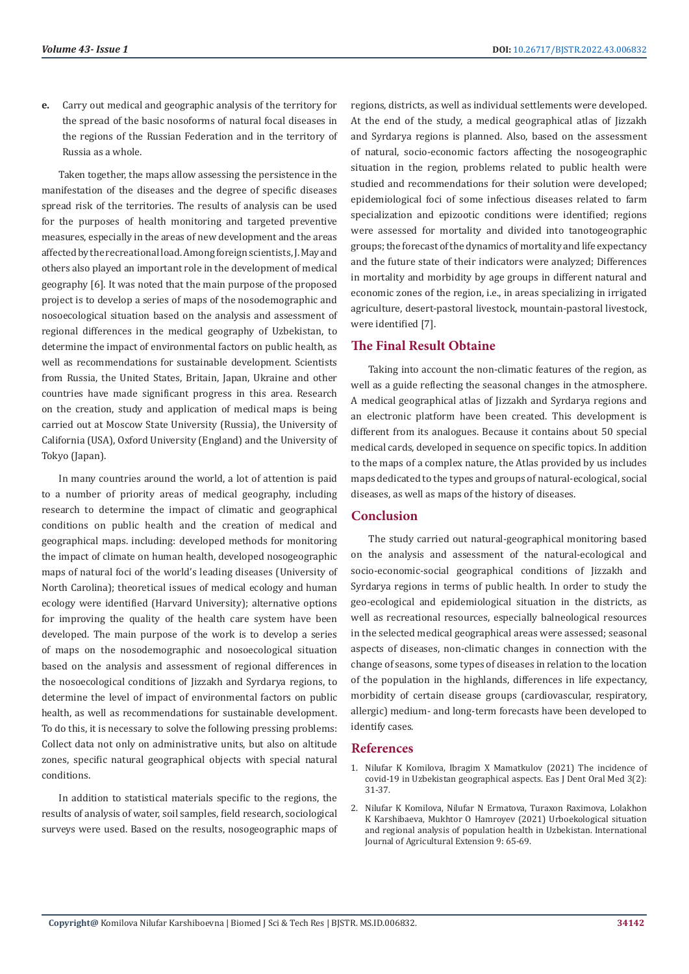**e.** Carry out medical and geographic analysis of the territory for the spread of the basic nosoforms of natural focal diseases in the regions of the Russian Federation and in the territory of Russia as a whole.

Taken together, the maps allow assessing the persistence in the manifestation of the diseases and the degree of specific diseases spread risk of the territories. The results of analysis can be used for the purposes of health monitoring and targeted preventive measures, especially in the areas of new development and the areas affected by the recreational load. Among foreign scientists, J. May and others also played an important role in the development of medical geography [6]. It was noted that the main purpose of the proposed project is to develop a series of maps of the nosodemographic and nosoecological situation based on the analysis and assessment of regional differences in the medical geography of Uzbekistan, to determine the impact of environmental factors on public health, as well as recommendations for sustainable development. Scientists from Russia, the United States, Britain, Japan, Ukraine and other countries have made significant progress in this area. Research on the creation, study and application of medical maps is being carried out at Moscow State University (Russia), the University of California (USA), Oxford University (England) and the University of Tokyo (Japan).

In many countries around the world, a lot of attention is paid to a number of priority areas of medical geography, including research to determine the impact of climatic and geographical conditions on public health and the creation of medical and geographical maps. including: developed methods for monitoring the impact of climate on human health, developed nosogeographic maps of natural foci of the world's leading diseases (University of North Carolina); theoretical issues of medical ecology and human ecology were identified (Harvard University); alternative options for improving the quality of the health care system have been developed. The main purpose of the work is to develop a series of maps on the nosodemographic and nosoecological situation based on the analysis and assessment of regional differences in the nosoecological conditions of Jizzakh and Syrdarya regions, to determine the level of impact of environmental factors on public health, as well as recommendations for sustainable development. To do this, it is necessary to solve the following pressing problems: Collect data not only on administrative units, but also on altitude zones, specific natural geographical objects with special natural conditions.

In addition to statistical materials specific to the regions, the results of analysis of water, soil samples, field research, sociological surveys were used. Based on the results, nosogeographic maps of regions, districts, as well as individual settlements were developed. At the end of the study, a medical geographical atlas of Jizzakh and Syrdarya regions is planned. Also, based on the assessment of natural, socio-economic factors affecting the nosogeographic situation in the region, problems related to public health were studied and recommendations for their solution were developed; epidemiological foci of some infectious diseases related to farm specialization and epizootic conditions were identified; regions were assessed for mortality and divided into tanotogeographic groups; the forecast of the dynamics of mortality and life expectancy and the future state of their indicators were analyzed; Differences in mortality and morbidity by age groups in different natural and economic zones of the region, i.e., in areas specializing in irrigated agriculture, desert-pastoral livestock, mountain-pastoral livestock, were identified [7].

# **The Final Result Obtaine**

Taking into account the non-climatic features of the region, as well as a guide reflecting the seasonal changes in the atmosphere. A medical geographical atlas of Jizzakh and Syrdarya regions and an electronic platform have been created. This development is different from its analogues. Because it contains about 50 special medical cards, developed in sequence on specific topics. In addition to the maps of a complex nature, the Atlas provided by us includes maps dedicated to the types and groups of natural-ecological, social diseases, as well as maps of the history of diseases.

# **Conclusion**

The study carried out natural-geographical monitoring based on the analysis and assessment of the natural-ecological and socio-economic-social geographical conditions of Jizzakh and Syrdarya regions in terms of public health. In order to study the geo-ecological and epidemiological situation in the districts, as well as recreational resources, especially balneological resources in the selected medical geographical areas were assessed; seasonal aspects of diseases, non-climatic changes in connection with the change of seasons, some types of diseases in relation to the location of the population in the highlands, differences in life expectancy, morbidity of certain disease groups (cardiovascular, respiratory, allergic) medium- and long-term forecasts have been developed to identify cases.

#### **References**

- 1. [Nilufar K Komilova, Ibragim X Mamatkulov \(2021\) The incidence of](https://www.easpublisher.com/get-articles/1967) [covid-19 in Uzbekistan geographical aspects. Eas J Dent Oral Med 3\(2\):](https://www.easpublisher.com/get-articles/1967) [31-37.](https://www.easpublisher.com/get-articles/1967)
- 2. [Nilufar K Komilova, Nilufar N Ermatova, Turaxon Raximova, Lolakhon](https://esciencepress.net/journals/index.php/IJAE/article/download/3722/1849) [K Karshibaeva, Mukhtor O Hamroyev \(2021\) Urboekological situation](https://esciencepress.net/journals/index.php/IJAE/article/download/3722/1849) [and regional analysis of population health in Uzbekistan. International](https://esciencepress.net/journals/index.php/IJAE/article/download/3722/1849) [Journal of Agricultural Extension 9: 65-69.](https://esciencepress.net/journals/index.php/IJAE/article/download/3722/1849)